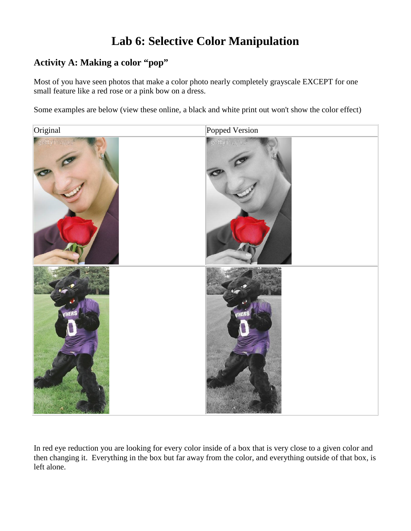## **Lab 6: Selective Color Manipulation**

## **Activity A: Making a color "pop"**

Most of you have seen photos that make a color photo nearly completely grayscale EXCEPT for one small feature like a red rose or a pink bow on a dress.

Some examples are below (view these online, a black and white print out won't show the color effect)



In red eye reduction you are looking for every color inside of a box that is very close to a given color and then changing it. Everything in the box but far away from the color, and everything outside of that box, is left alone.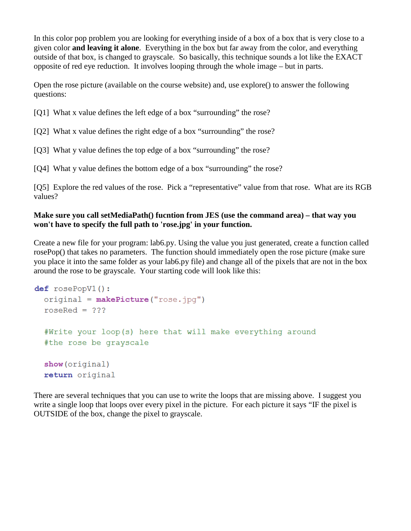In this color pop problem you are looking for everything inside of a box of a box that is very close to a given color **and leaving it alone**. Everything in the box but far away from the color, and everything outside of that box, is changed to grayscale. So basically, this technique sounds a lot like the EXACT opposite of red eye reduction. It involves looping through the whole image – but in parts.

Open the rose picture (available on the course website) and, use explore() to answer the following questions:

- [Q1] What x value defines the left edge of a box "surrounding" the rose?
- [Q2] What x value defines the right edge of a box "surrounding" the rose?
- [Q3] What y value defines the top edge of a box "surrounding" the rose?
- [Q4] What y value defines the bottom edge of a box "surrounding" the rose?

[Q5] Explore the red values of the rose. Pick a "representative" value from that rose. What are its RGB values?

## **Make sure you call setMediaPath() fucntion from JES (use the command area) – that way you won't have to specify the full path to 'rose.jpg' in your function.**

Create a new file for your program: lab6.py. Using the value you just generated, create a function called rosePop() that takes no parameters. The function should immediately open the rose picture (make sure you place it into the same folder as your lab6.py file) and change all of the pixels that are not in the box around the rose to be grayscale. Your starting code will look like this:

```
def\; rosePopV1():original = makePicture("rose.jpg")roseRed = ???#Write your loop(s) here that will make everything around
#the rose be grayscale
show (original)
return original
```
There are several techniques that you can use to write the loops that are missing above. I suggest you write a single loop that loops over every pixel in the picture. For each picture it says "IF the pixel is OUTSIDE of the box, change the pixel to grayscale.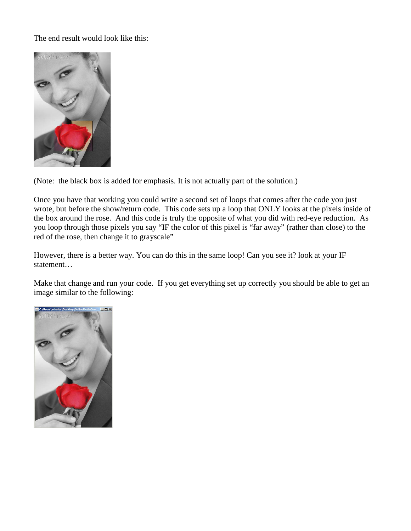The end result would look like this:



(Note: the black box is added for emphasis. It is not actually part of the solution.)

Once you have that working you could write a second set of loops that comes after the code you just wrote, but before the show/return code. This code sets up a loop that ONLY looks at the pixels inside of the box around the rose. And this code is truly the opposite of what you did with red-eye reduction. As you loop through those pixels you say "IF the color of this pixel is "far away" (rather than close) to the red of the rose, then change it to grayscale"

However, there is a better way. You can do this in the same loop! Can you see it? look at your IF statement…

Make that change and run your code. If you get everything set up correctly you should be able to get an image similar to the following:

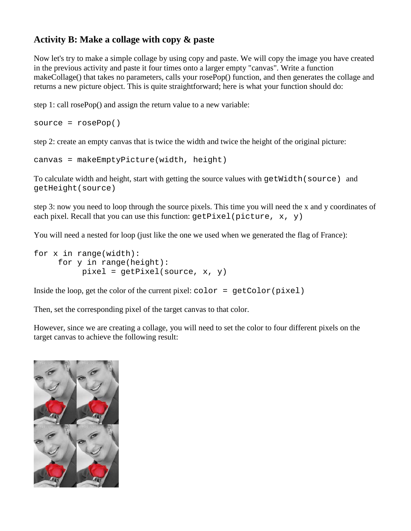## **Activity B: Make a collage with copy & paste**

Now let's try to make a simple collage by using copy and paste. We will copy the image you have created in the previous activity and paste it four times onto a larger empty "canvas". Write a function makeCollage() that takes no parameters, calls your rosePop() function, and then generates the collage and returns a new picture object. This is quite straightforward; here is what your function should do:

step 1: call rosePop() and assign the return value to a new variable:

```
source = rosePop()
```
step 2: create an empty canvas that is twice the width and twice the height of the original picture:

```
canvas = makeEmptyPicture(width, height)
```
To calculate width and height, start with getting the source values with getWidth(source) and getHeight(source)

step 3: now you need to loop through the source pixels. This time you will need the x and y coordinates of each pixel. Recall that you can use this function:  $getFixed{ | picture, x, y}$ 

You will need a nested for loop (just like the one we used when we generated the flag of France):

```
for x in range(width):
   for y in range(height):
       pixel = getFixed(source, x, y)
```
Inside the loop, get the color of the current pixel:  $color = getColor(pixel)$ 

Then, set the corresponding pixel of the target canvas to that color.

However, since we are creating a collage, you will need to set the color to four different pixels on the target canvas to achieve the following result: